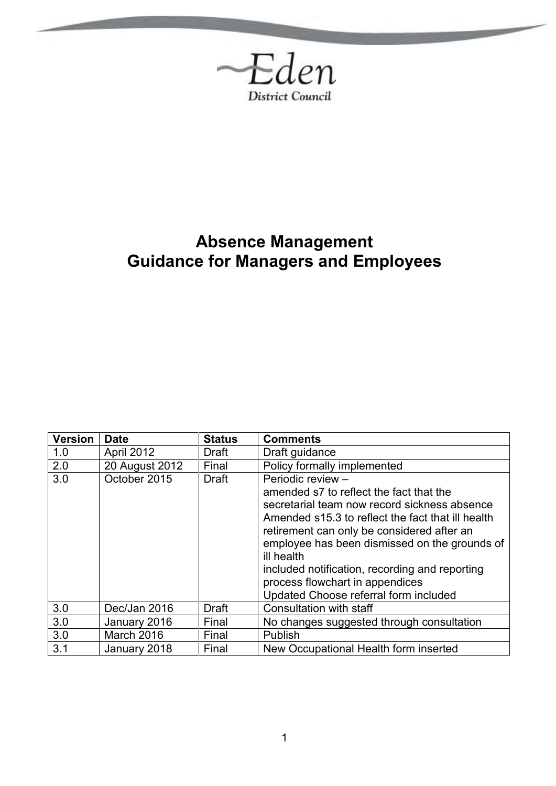

# **Absence Management Guidance for Managers and Employees**

| <b>Version</b> | <b>Date</b>    | <b>Status</b> | <b>Comments</b>                                                                                                                                                                                                                                                                                                                                                                                              |
|----------------|----------------|---------------|--------------------------------------------------------------------------------------------------------------------------------------------------------------------------------------------------------------------------------------------------------------------------------------------------------------------------------------------------------------------------------------------------------------|
| 1.0            | April 2012     | Draft         | Draft guidance                                                                                                                                                                                                                                                                                                                                                                                               |
| 2.0            | 20 August 2012 | Final         | Policy formally implemented                                                                                                                                                                                                                                                                                                                                                                                  |
| 3.0            | October 2015   | <b>Draft</b>  | Periodic review -<br>amended s7 to reflect the fact that the<br>secretarial team now record sickness absence<br>Amended s15.3 to reflect the fact that ill health<br>retirement can only be considered after an<br>employee has been dismissed on the grounds of<br>ill health<br>included notification, recording and reporting<br>process flowchart in appendices<br>Updated Choose referral form included |
| 3.0            | Dec/Jan 2016   | <b>Draft</b>  | Consultation with staff                                                                                                                                                                                                                                                                                                                                                                                      |
| 3.0            | January 2016   | Final         | No changes suggested through consultation                                                                                                                                                                                                                                                                                                                                                                    |
| 3.0            | March 2016     | Final         | <b>Publish</b>                                                                                                                                                                                                                                                                                                                                                                                               |
| 3.1            | January 2018   | Final         | New Occupational Health form inserted                                                                                                                                                                                                                                                                                                                                                                        |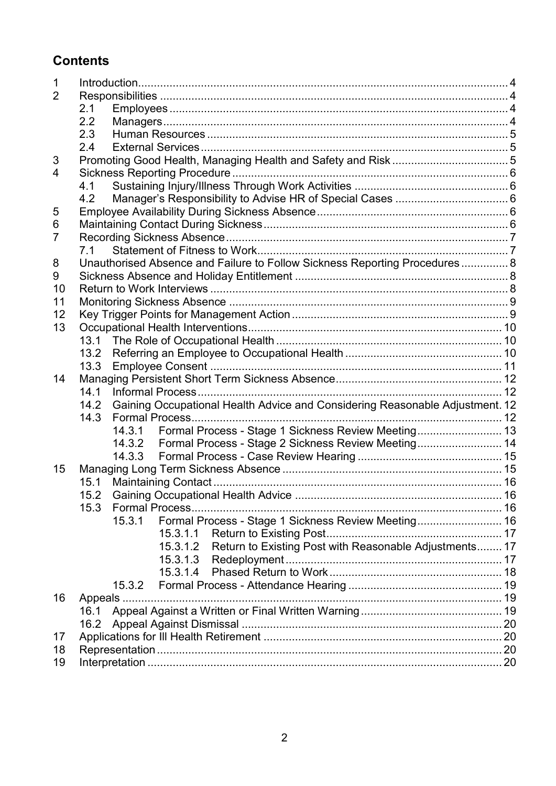## **Contents**

| 1  |      |                                                                                                |  |
|----|------|------------------------------------------------------------------------------------------------|--|
| 2  |      |                                                                                                |  |
|    | 2.1  |                                                                                                |  |
|    | 2.2  |                                                                                                |  |
|    | 2.3  |                                                                                                |  |
|    | 2.4  |                                                                                                |  |
| 3  |      |                                                                                                |  |
| 4  |      |                                                                                                |  |
|    | 4.1  |                                                                                                |  |
|    | 4.2  |                                                                                                |  |
| 5  |      |                                                                                                |  |
| 6  |      |                                                                                                |  |
| 7  |      |                                                                                                |  |
|    | 7.1  |                                                                                                |  |
| 8  |      | Unauthorised Absence and Failure to Follow Sickness Reporting Procedures 8                     |  |
| 9  |      |                                                                                                |  |
| 10 |      |                                                                                                |  |
| 11 |      |                                                                                                |  |
| 12 |      |                                                                                                |  |
| 13 |      |                                                                                                |  |
|    | 13.1 |                                                                                                |  |
|    | 13.2 |                                                                                                |  |
|    | 13.3 |                                                                                                |  |
| 14 |      |                                                                                                |  |
|    | 14.1 |                                                                                                |  |
|    | 14.2 |                                                                                                |  |
|    | 14.3 | Gaining Occupational Health Advice and Considering Reasonable Adjustment. 12<br>Formal Process |  |
|    |      | Formal Process - Stage 1 Sickness Review Meeting 13<br>14.3.1                                  |  |
|    |      | 14.3.2 Formal Process - Stage 2 Sickness Review Meeting 14                                     |  |
|    |      |                                                                                                |  |
| 15 |      |                                                                                                |  |
|    |      |                                                                                                |  |
|    | 15.1 |                                                                                                |  |
|    |      |                                                                                                |  |
|    | 15.3 | Formal Process.                                                                                |  |
|    |      | Formal Process - Stage 1 Sickness Review Meeting 16<br>15.3.1                                  |  |
|    |      | 15.3.1.1                                                                                       |  |
|    |      | Return to Existing Post with Reasonable Adjustments 17<br>15.3.1.2                             |  |
|    |      | 15.3.1.3                                                                                       |  |
|    |      | 15.3.1.4                                                                                       |  |
|    |      | 15.3.2                                                                                         |  |
| 16 |      | Appeals                                                                                        |  |
|    | 16.1 |                                                                                                |  |
|    | 16.2 |                                                                                                |  |
| 17 |      |                                                                                                |  |
| 18 |      |                                                                                                |  |
| 19 |      |                                                                                                |  |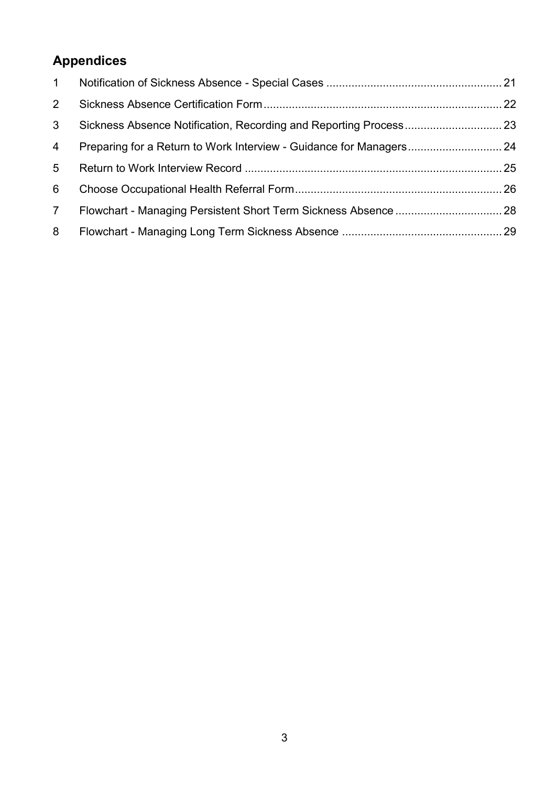# **Appendices**

| $1 \quad$      |  |
|----------------|--|
| 2 <sup>1</sup> |  |
| 3 <sup>1</sup> |  |
| $\overline{4}$ |  |
| 5 <sup>5</sup> |  |
| 6              |  |
| $7^{\circ}$    |  |
| 8              |  |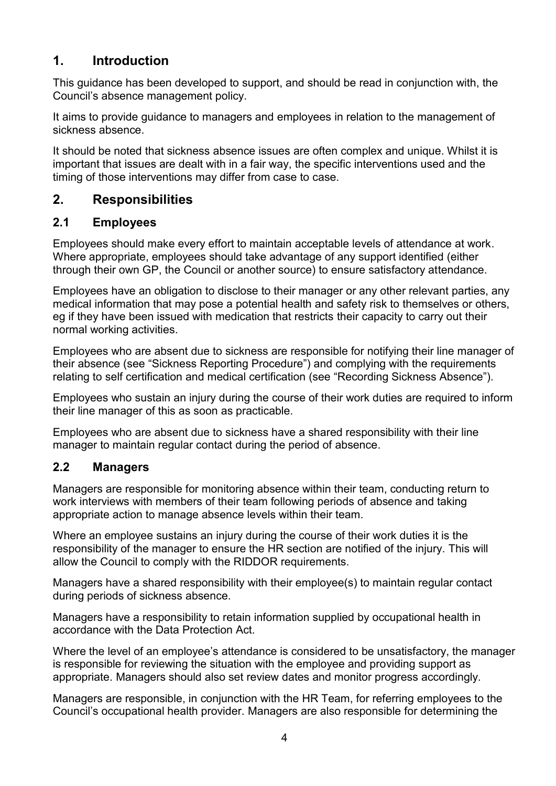## **1. Introduction**

This guidance has been developed to support, and should be read in conjunction with, the Council's absence management policy.

It aims to provide guidance to managers and employees in relation to the management of sickness absence.

It should be noted that sickness absence issues are often complex and unique. Whilst it is important that issues are dealt with in a fair way, the specific interventions used and the timing of those interventions may differ from case to case.

#### **2. Responsibilities**

#### **2.1 Employees**

Employees should make every effort to maintain acceptable levels of attendance at work. Where appropriate, employees should take advantage of any support identified (either through their own GP, the Council or another source) to ensure satisfactory attendance.

Employees have an obligation to disclose to their manager or any other relevant parties, any medical information that may pose a potential health and safety risk to themselves or others, eg if they have been issued with medication that restricts their capacity to carry out their normal working activities.

Employees who are absent due to sickness are responsible for notifying their line manager of their absence (see "Sickness Reporting Procedure") and complying with the requirements relating to self certification and medical certification (see "Recording Sickness Absence").

Employees who sustain an injury during the course of their work duties are required to inform their line manager of this as soon as practicable.

Employees who are absent due to sickness have a shared responsibility with their line manager to maintain regular contact during the period of absence.

#### **2.2 Managers**

Managers are responsible for monitoring absence within their team, conducting return to work interviews with members of their team following periods of absence and taking appropriate action to manage absence levels within their team.

Where an employee sustains an injury during the course of their work duties it is the responsibility of the manager to ensure the HR section are notified of the injury. This will allow the Council to comply with the RIDDOR requirements.

Managers have a shared responsibility with their employee(s) to maintain regular contact during periods of sickness absence.

Managers have a responsibility to retain information supplied by occupational health in accordance with the Data Protection Act.

Where the level of an employee's attendance is considered to be unsatisfactory, the manager is responsible for reviewing the situation with the employee and providing support as appropriate. Managers should also set review dates and monitor progress accordingly.

Managers are responsible, in conjunction with the HR Team, for referring employees to the Council's occupational health provider. Managers are also responsible for determining the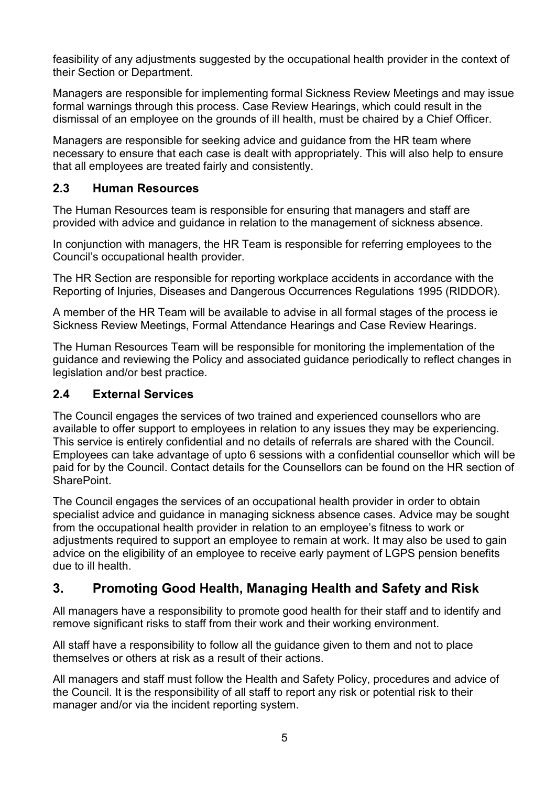feasibility of any adjustments suggested by the occupational health provider in the context of their Section or Department.

Managers are responsible for implementing formal Sickness Review Meetings and may issue formal warnings through this process. Case Review Hearings, which could result in the dismissal of an employee on the grounds of ill health, must be chaired by a Chief Officer.

Managers are responsible for seeking advice and guidance from the HR team where necessary to ensure that each case is dealt with appropriately. This will also help to ensure that all employees are treated fairly and consistently.

#### **2.3 Human Resources**

The Human Resources team is responsible for ensuring that managers and staff are provided with advice and guidance in relation to the management of sickness absence.

In conjunction with managers, the HR Team is responsible for referring employees to the Council's occupational health provider.

The HR Section are responsible for reporting workplace accidents in accordance with the Reporting of Injuries, Diseases and Dangerous Occurrences Regulations 1995 (RIDDOR).

A member of the HR Team will be available to advise in all formal stages of the process ie Sickness Review Meetings, Formal Attendance Hearings and Case Review Hearings.

The Human Resources Team will be responsible for monitoring the implementation of the guidance and reviewing the Policy and associated guidance periodically to reflect changes in legislation and/or best practice.

#### **2.4 External Services**

The Council engages the services of two trained and experienced counsellors who are available to offer support to employees in relation to any issues they may be experiencing. This service is entirely confidential and no details of referrals are shared with the Council. Employees can take advantage of upto 6 sessions with a confidential counsellor which will be paid for by the Council. Contact details for the Counsellors can be found on the HR section of SharePoint.

The Council engages the services of an occupational health provider in order to obtain specialist advice and guidance in managing sickness absence cases. Advice may be sought from the occupational health provider in relation to an employee's fitness to work or adjustments required to support an employee to remain at work. It may also be used to gain advice on the eligibility of an employee to receive early payment of LGPS pension benefits due to ill health.

#### **3. Promoting Good Health, Managing Health and Safety and Risk**

All managers have a responsibility to promote good health for their staff and to identify and remove significant risks to staff from their work and their working environment.

All staff have a responsibility to follow all the guidance given to them and not to place themselves or others at risk as a result of their actions.

All managers and staff must follow the Health and Safety Policy, procedures and advice of the Council. It is the responsibility of all staff to report any risk or potential risk to their manager and/or via the incident reporting system.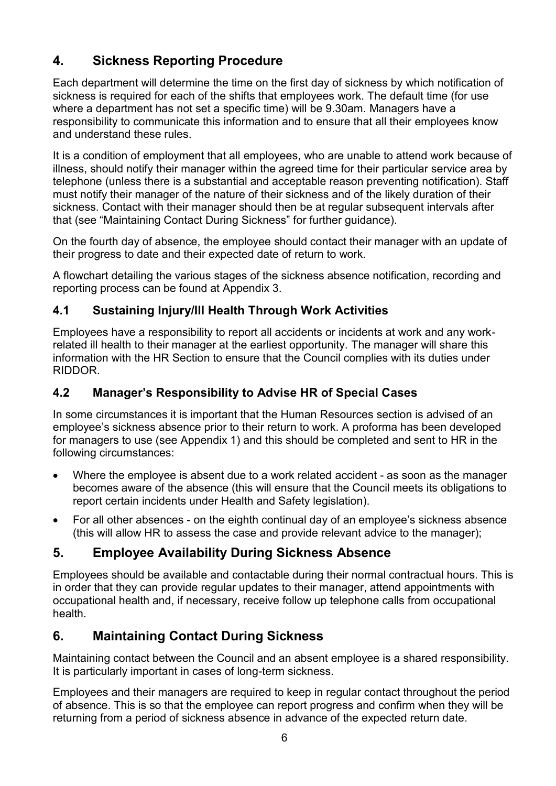## **4. Sickness Reporting Procedure**

Each department will determine the time on the first day of sickness by which notification of sickness is required for each of the shifts that employees work. The default time (for use where a department has not set a specific time) will be 9.30am. Managers have a responsibility to communicate this information and to ensure that all their employees know and understand these rules.

It is a condition of employment that all employees, who are unable to attend work because of illness, should notify their manager within the agreed time for their particular service area by telephone (unless there is a substantial and acceptable reason preventing notification). Staff must notify their manager of the nature of their sickness and of the likely duration of their sickness. Contact with their manager should then be at regular subsequent intervals after that (see "Maintaining Contact During Sickness" for further guidance).

On the fourth day of absence, the employee should contact their manager with an update of their progress to date and their expected date of return to work.

A flowchart detailing the various stages of the sickness absence notification, recording and reporting process can be found at Appendix 3.

#### **4.1 Sustaining Injury/Ill Health Through Work Activities**

Employees have a responsibility to report all accidents or incidents at work and any workrelated ill health to their manager at the earliest opportunity. The manager will share this information with the HR Section to ensure that the Council complies with its duties under RIDDOR.

#### **4.2 Manager's Responsibility to Advise HR of Special Cases**

In some circumstances it is important that the Human Resources section is advised of an employee's sickness absence prior to their return to work. A proforma has been developed for managers to use (see Appendix 1) and this should be completed and sent to HR in the following circumstances:

- Where the employee is absent due to a work related accident as soon as the manager becomes aware of the absence (this will ensure that the Council meets its obligations to report certain incidents under Health and Safety legislation).
- For all other absences on the eighth continual day of an employee's sickness absence (this will allow HR to assess the case and provide relevant advice to the manager);

## **5. Employee Availability During Sickness Absence**

Employees should be available and contactable during their normal contractual hours. This is in order that they can provide regular updates to their manager, attend appointments with occupational health and, if necessary, receive follow up telephone calls from occupational health.

## **6. Maintaining Contact During Sickness**

Maintaining contact between the Council and an absent employee is a shared responsibility. It is particularly important in cases of long-term sickness.

Employees and their managers are required to keep in regular contact throughout the period of absence. This is so that the employee can report progress and confirm when they will be returning from a period of sickness absence in advance of the expected return date.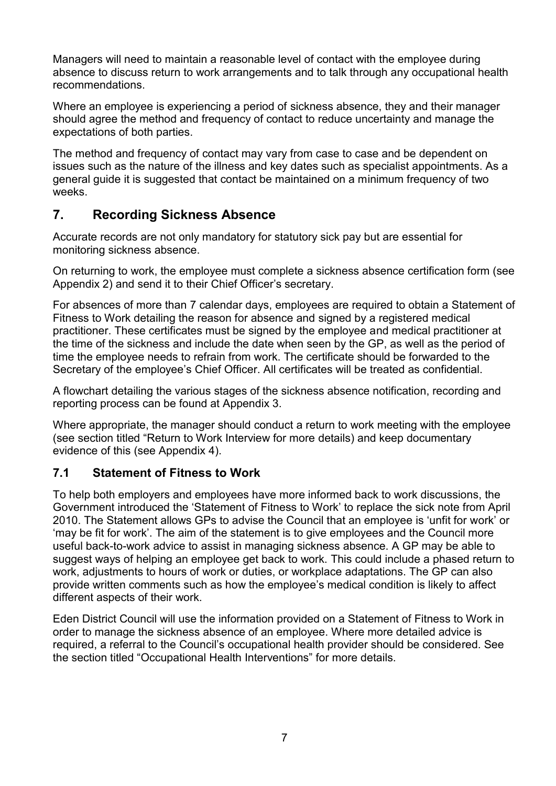Managers will need to maintain a reasonable level of contact with the employee during absence to discuss return to work arrangements and to talk through any occupational health recommendations.

Where an employee is experiencing a period of sickness absence, they and their manager should agree the method and frequency of contact to reduce uncertainty and manage the expectations of both parties.

The method and frequency of contact may vary from case to case and be dependent on issues such as the nature of the illness and key dates such as specialist appointments. As a general guide it is suggested that contact be maintained on a minimum frequency of two weeks.

#### **7. Recording Sickness Absence**

Accurate records are not only mandatory for statutory sick pay but are essential for monitoring sickness absence.

On returning to work, the employee must complete a sickness absence certification form (see Appendix 2) and send it to their Chief Officer's secretary.

For absences of more than 7 calendar days, employees are required to obtain a Statement of Fitness to Work detailing the reason for absence and signed by a registered medical practitioner. These certificates must be signed by the employee and medical practitioner at the time of the sickness and include the date when seen by the GP, as well as the period of time the employee needs to refrain from work. The certificate should be forwarded to the Secretary of the employee's Chief Officer. All certificates will be treated as confidential.

A flowchart detailing the various stages of the sickness absence notification, recording and reporting process can be found at Appendix 3.

Where appropriate, the manager should conduct a return to work meeting with the employee (see section titled "Return to Work Interview for more details) and keep documentary evidence of this (see Appendix 4).

#### **7.1 Statement of Fitness to Work**

To help both employers and employees have more informed back to work discussions, the Government introduced the 'Statement of Fitness to Work' to replace the sick note from April 2010. The Statement allows GPs to advise the Council that an employee is 'unfit for work' or 'may be fit for work'. The aim of the statement is to give employees and the Council more useful back-to-work advice to assist in managing sickness absence. A GP may be able to suggest ways of helping an employee get back to work. This could include a phased return to work, adjustments to hours of work or duties, or workplace adaptations. The GP can also provide written comments such as how the employee's medical condition is likely to affect different aspects of their work.

Eden District Council will use the information provided on a Statement of Fitness to Work in order to manage the sickness absence of an employee. Where more detailed advice is required, a referral to the Council's occupational health provider should be considered. See the section titled "Occupational Health Interventions" for more details.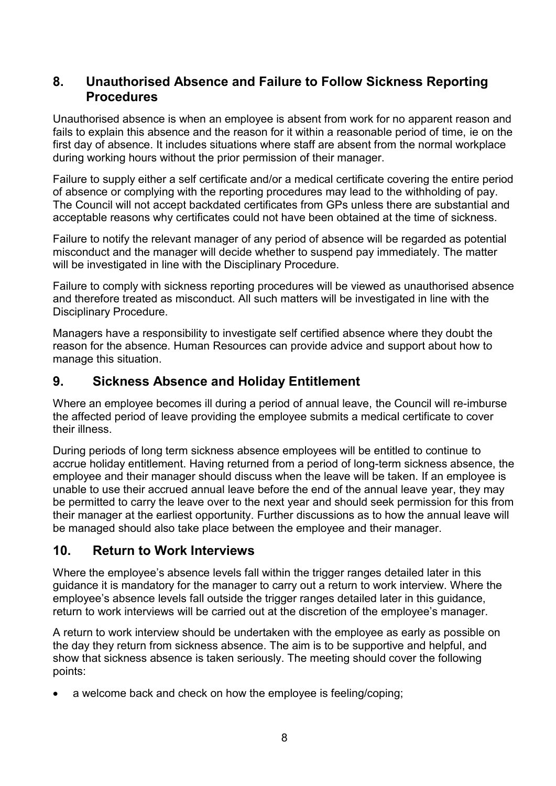#### **8. Unauthorised Absence and Failure to Follow Sickness Reporting Procedures**

Unauthorised absence is when an employee is absent from work for no apparent reason and fails to explain this absence and the reason for it within a reasonable period of time, ie on the first day of absence. It includes situations where staff are absent from the normal workplace during working hours without the prior permission of their manager.

Failure to supply either a self certificate and/or a medical certificate covering the entire period of absence or complying with the reporting procedures may lead to the withholding of pay. The Council will not accept backdated certificates from GPs unless there are substantial and acceptable reasons why certificates could not have been obtained at the time of sickness.

Failure to notify the relevant manager of any period of absence will be regarded as potential misconduct and the manager will decide whether to suspend pay immediately. The matter will be investigated in line with the Disciplinary Procedure.

Failure to comply with sickness reporting procedures will be viewed as unauthorised absence and therefore treated as misconduct. All such matters will be investigated in line with the Disciplinary Procedure.

Managers have a responsibility to investigate self certified absence where they doubt the reason for the absence. Human Resources can provide advice and support about how to manage this situation.

#### **9. Sickness Absence and Holiday Entitlement**

Where an employee becomes ill during a period of annual leave, the Council will re-imburse the affected period of leave providing the employee submits a medical certificate to cover their illness.

During periods of long term sickness absence employees will be entitled to continue to accrue holiday entitlement. Having returned from a period of long-term sickness absence, the employee and their manager should discuss when the leave will be taken. If an employee is unable to use their accrued annual leave before the end of the annual leave year, they may be permitted to carry the leave over to the next year and should seek permission for this from their manager at the earliest opportunity. Further discussions as to how the annual leave will be managed should also take place between the employee and their manager.

#### **10. Return to Work Interviews**

Where the employee's absence levels fall within the trigger ranges detailed later in this guidance it is mandatory for the manager to carry out a return to work interview. Where the employee's absence levels fall outside the trigger ranges detailed later in this guidance, return to work interviews will be carried out at the discretion of the employee's manager.

A return to work interview should be undertaken with the employee as early as possible on the day they return from sickness absence. The aim is to be supportive and helpful, and show that sickness absence is taken seriously. The meeting should cover the following points:

a welcome back and check on how the employee is feeling/coping;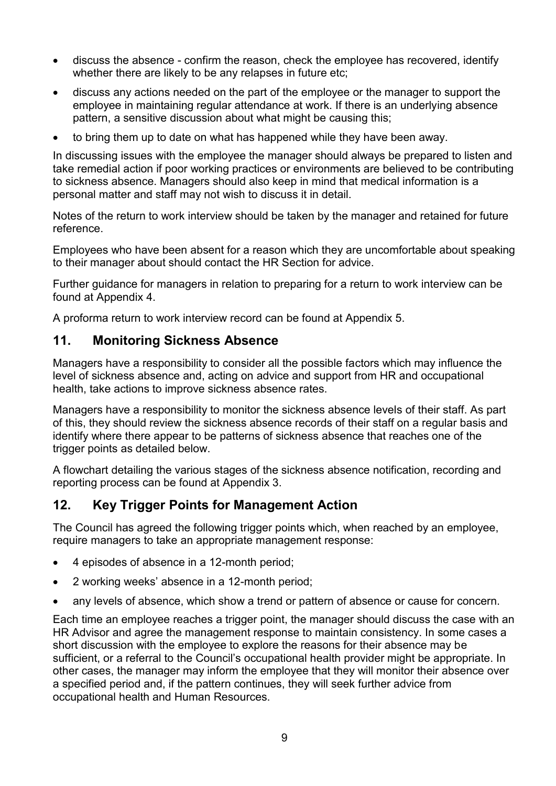- discuss the absence confirm the reason, check the employee has recovered, identify whether there are likely to be any relapses in future etc;
- discuss any actions needed on the part of the employee or the manager to support the employee in maintaining regular attendance at work. If there is an underlying absence pattern, a sensitive discussion about what might be causing this;
- to bring them up to date on what has happened while they have been away.

In discussing issues with the employee the manager should always be prepared to listen and take remedial action if poor working practices or environments are believed to be contributing to sickness absence. Managers should also keep in mind that medical information is a personal matter and staff may not wish to discuss it in detail.

Notes of the return to work interview should be taken by the manager and retained for future reference.

Employees who have been absent for a reason which they are uncomfortable about speaking to their manager about should contact the HR Section for advice.

Further guidance for managers in relation to preparing for a return to work interview can be found at Appendix 4.

A proforma return to work interview record can be found at Appendix 5.

#### **11. Monitoring Sickness Absence**

Managers have a responsibility to consider all the possible factors which may influence the level of sickness absence and, acting on advice and support from HR and occupational health, take actions to improve sickness absence rates.

Managers have a responsibility to monitor the sickness absence levels of their staff. As part of this, they should review the sickness absence records of their staff on a regular basis and identify where there appear to be patterns of sickness absence that reaches one of the trigger points as detailed below.

A flowchart detailing the various stages of the sickness absence notification, recording and reporting process can be found at Appendix 3.

#### **12. Key Trigger Points for Management Action**

The Council has agreed the following trigger points which, when reached by an employee, require managers to take an appropriate management response:

- 4 episodes of absence in a 12-month period;
- 2 working weeks' absence in a 12-month period;
- any levels of absence, which show a trend or pattern of absence or cause for concern.

Each time an employee reaches a trigger point, the manager should discuss the case with an HR Advisor and agree the management response to maintain consistency. In some cases a short discussion with the employee to explore the reasons for their absence may be sufficient, or a referral to the Council's occupational health provider might be appropriate. In other cases, the manager may inform the employee that they will monitor their absence over a specified period and, if the pattern continues, they will seek further advice from occupational health and Human Resources.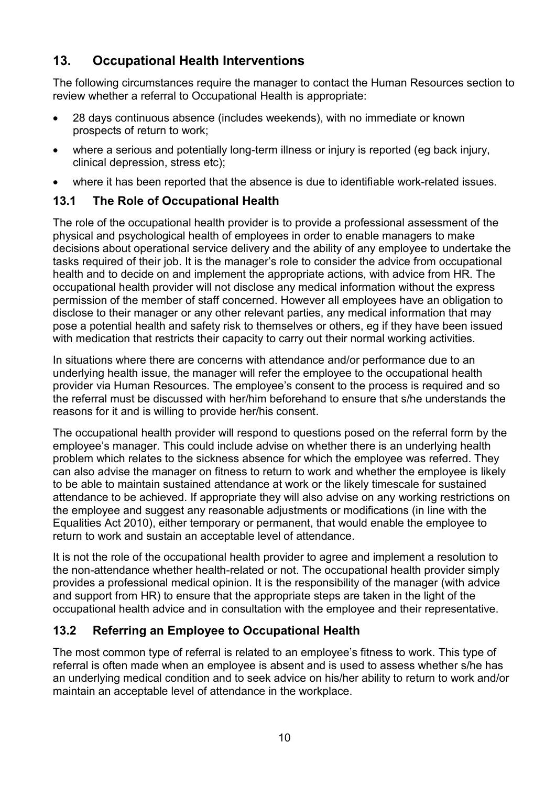## **13. Occupational Health Interventions**

The following circumstances require the manager to contact the Human Resources section to review whether a referral to Occupational Health is appropriate:

- 28 days continuous absence (includes weekends), with no immediate or known prospects of return to work;
- where a serious and potentially long-term illness or injury is reported (eg back injury, clinical depression, stress etc);
- where it has been reported that the absence is due to identifiable work-related issues.

## **13.1 The Role of Occupational Health**

The role of the occupational health provider is to provide a professional assessment of the physical and psychological health of employees in order to enable managers to make decisions about operational service delivery and the ability of any employee to undertake the tasks required of their job. It is the manager's role to consider the advice from occupational health and to decide on and implement the appropriate actions, with advice from HR. The occupational health provider will not disclose any medical information without the express permission of the member of staff concerned. However all employees have an obligation to disclose to their manager or any other relevant parties, any medical information that may pose a potential health and safety risk to themselves or others, eg if they have been issued with medication that restricts their capacity to carry out their normal working activities.

In situations where there are concerns with attendance and/or performance due to an underlying health issue, the manager will refer the employee to the occupational health provider via Human Resources. The employee's consent to the process is required and so the referral must be discussed with her/him beforehand to ensure that s/he understands the reasons for it and is willing to provide her/his consent.

The occupational health provider will respond to questions posed on the referral form by the employee's manager. This could include advise on whether there is an underlying health problem which relates to the sickness absence for which the employee was referred. They can also advise the manager on fitness to return to work and whether the employee is likely to be able to maintain sustained attendance at work or the likely timescale for sustained attendance to be achieved. If appropriate they will also advise on any working restrictions on the employee and suggest any reasonable adjustments or modifications (in line with the Equalities Act 2010), either temporary or permanent, that would enable the employee to return to work and sustain an acceptable level of attendance.

It is not the role of the occupational health provider to agree and implement a resolution to the non-attendance whether health-related or not. The occupational health provider simply provides a professional medical opinion. It is the responsibility of the manager (with advice and support from HR) to ensure that the appropriate steps are taken in the light of the occupational health advice and in consultation with the employee and their representative.

#### **13.2 Referring an Employee to Occupational Health**

The most common type of referral is related to an employee's fitness to work. This type of referral is often made when an employee is absent and is used to assess whether s/he has an underlying medical condition and to seek advice on his/her ability to return to work and/or maintain an acceptable level of attendance in the workplace.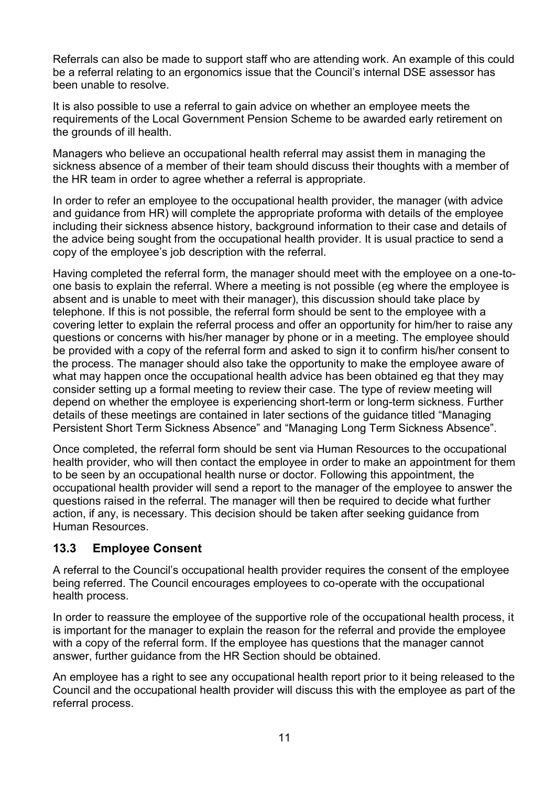Referrals can also be made to support staff who are attending work. An example of this could be a referral relating to an ergonomics issue that the Council's internal DSE assessor has been unable to resolve.

It is also possible to use a referral to gain advice on whether an employee meets the requirements of the Local Government Pension Scheme to be awarded early retirement on the grounds of ill health.

Managers who believe an occupational health referral may assist them in managing the sickness absence of a member of their team should discuss their thoughts with a member of the HR team in order to agree whether a referral is appropriate.

In order to refer an employee to the occupational health provider, the manager (with advice and guidance from HR) will complete the appropriate proforma with details of the employee including their sickness absence history, background information to their case and details of the advice being sought from the occupational health provider. It is usual practice to send a copy of the employee's job description with the referral.

Having completed the referral form, the manager should meet with the employee on a one-toone basis to explain the referral. Where a meeting is not possible (eg where the employee is absent and is unable to meet with their manager), this discussion should take place by telephone. If this is not possible, the referral form should be sent to the employee with a covering letter to explain the referral process and offer an opportunity for him/her to raise any questions or concerns with his/her manager by phone or in a meeting. The employee should be provided with a copy of the referral form and asked to sign it to confirm his/her consent to the process. The manager should also take the opportunity to make the employee aware of what may happen once the occupational health advice has been obtained eg that they may consider setting up a formal meeting to review their case. The type of review meeting will depend on whether the employee is experiencing short-term or long-term sickness. Further details of these meetings are contained in later sections of the guidance titled "Managing Persistent Short Term Sickness Absence" and "Managing Long Term Sickness Absence".

Once completed, the referral form should be sent via Human Resources to the occupational health provider, who will then contact the employee in order to make an appointment for them to be seen by an occupational health nurse or doctor. Following this appointment, the occupational health provider will send a report to the manager of the employee to answer the questions raised in the referral. The manager will then be required to decide what further action, if any, is necessary. This decision should be taken after seeking guidance from Human Resources.

#### **13.3 Employee Consent**

A referral to the Council's occupational health provider requires the consent of the employee being referred. The Council encourages employees to co-operate with the occupational health process.

In order to reassure the employee of the supportive role of the occupational health process, it is important for the manager to explain the reason for the referral and provide the employee with a copy of the referral form. If the employee has questions that the manager cannot answer, further guidance from the HR Section should be obtained.

An employee has a right to see any occupational health report prior to it being released to the Council and the occupational health provider will discuss this with the employee as part of the referral process.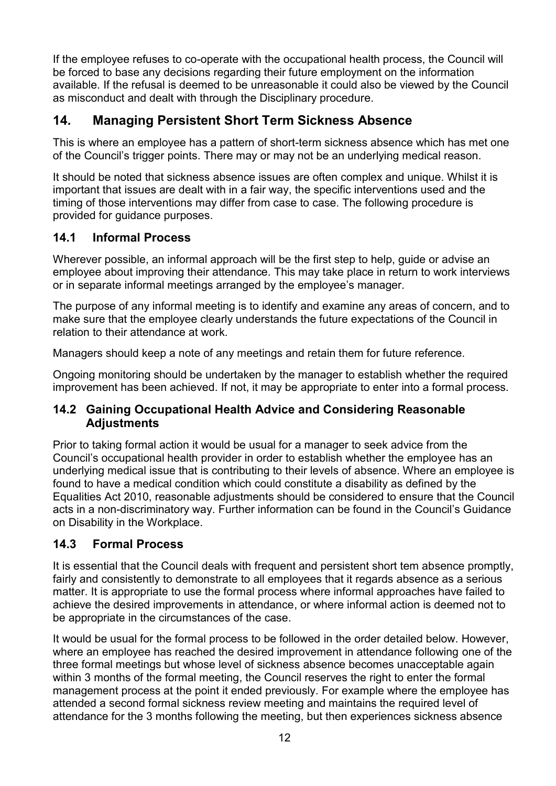If the employee refuses to co-operate with the occupational health process, the Council will be forced to base any decisions regarding their future employment on the information available. If the refusal is deemed to be unreasonable it could also be viewed by the Council as misconduct and dealt with through the Disciplinary procedure.

## **14. Managing Persistent Short Term Sickness Absence**

This is where an employee has a pattern of short-term sickness absence which has met one of the Council's trigger points. There may or may not be an underlying medical reason.

It should be noted that sickness absence issues are often complex and unique. Whilst it is important that issues are dealt with in a fair way, the specific interventions used and the timing of those interventions may differ from case to case. The following procedure is provided for guidance purposes.

## **14.1 Informal Process**

Wherever possible, an informal approach will be the first step to help, guide or advise an employee about improving their attendance. This may take place in return to work interviews or in separate informal meetings arranged by the employee's manager.

The purpose of any informal meeting is to identify and examine any areas of concern, and to make sure that the employee clearly understands the future expectations of the Council in relation to their attendance at work.

Managers should keep a note of any meetings and retain them for future reference.

Ongoing monitoring should be undertaken by the manager to establish whether the required improvement has been achieved. If not, it may be appropriate to enter into a formal process.

#### **14.2 Gaining Occupational Health Advice and Considering Reasonable Adjustments**

Prior to taking formal action it would be usual for a manager to seek advice from the Council's occupational health provider in order to establish whether the employee has an underlying medical issue that is contributing to their levels of absence. Where an employee is found to have a medical condition which could constitute a disability as defined by the Equalities Act 2010, reasonable adjustments should be considered to ensure that the Council acts in a non-discriminatory way. Further information can be found in the Council's Guidance on Disability in the Workplace.

#### **14.3 Formal Process**

It is essential that the Council deals with frequent and persistent short tem absence promptly, fairly and consistently to demonstrate to all employees that it regards absence as a serious matter. It is appropriate to use the formal process where informal approaches have failed to achieve the desired improvements in attendance, or where informal action is deemed not to be appropriate in the circumstances of the case.

It would be usual for the formal process to be followed in the order detailed below. However, where an employee has reached the desired improvement in attendance following one of the three formal meetings but whose level of sickness absence becomes unacceptable again within 3 months of the formal meeting, the Council reserves the right to enter the formal management process at the point it ended previously. For example where the employee has attended a second formal sickness review meeting and maintains the required level of attendance for the 3 months following the meeting, but then experiences sickness absence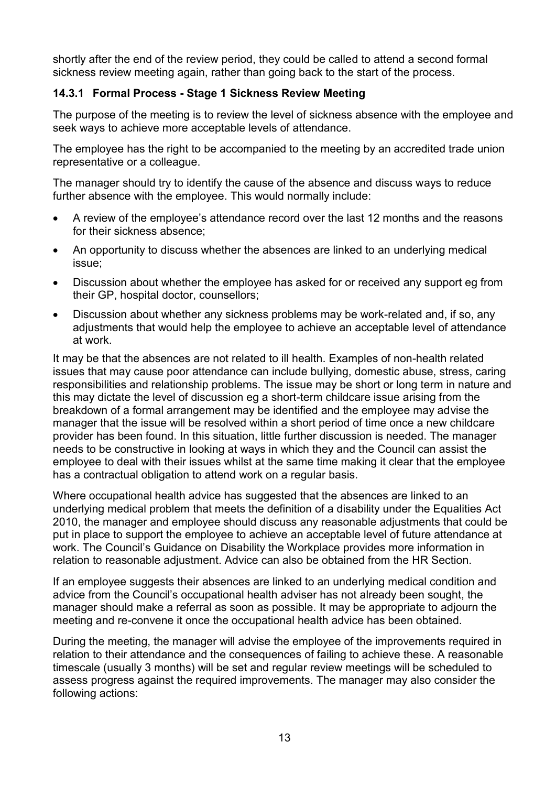shortly after the end of the review period, they could be called to attend a second formal sickness review meeting again, rather than going back to the start of the process.

#### **14.3.1 Formal Process - Stage 1 Sickness Review Meeting**

The purpose of the meeting is to review the level of sickness absence with the employee and seek ways to achieve more acceptable levels of attendance.

The employee has the right to be accompanied to the meeting by an accredited trade union representative or a colleague.

The manager should try to identify the cause of the absence and discuss ways to reduce further absence with the employee. This would normally include:

- A review of the employee's attendance record over the last 12 months and the reasons for their sickness absence;
- An opportunity to discuss whether the absences are linked to an underlying medical issue;
- Discussion about whether the employee has asked for or received any support eg from their GP, hospital doctor, counsellors;
- Discussion about whether any sickness problems may be work-related and, if so, any adjustments that would help the employee to achieve an acceptable level of attendance at work.

It may be that the absences are not related to ill health. Examples of non-health related issues that may cause poor attendance can include bullying, domestic abuse, stress, caring responsibilities and relationship problems. The issue may be short or long term in nature and this may dictate the level of discussion eg a short-term childcare issue arising from the breakdown of a formal arrangement may be identified and the employee may advise the manager that the issue will be resolved within a short period of time once a new childcare provider has been found. In this situation, little further discussion is needed. The manager needs to be constructive in looking at ways in which they and the Council can assist the employee to deal with their issues whilst at the same time making it clear that the employee has a contractual obligation to attend work on a regular basis.

Where occupational health advice has suggested that the absences are linked to an underlying medical problem that meets the definition of a disability under the Equalities Act 2010, the manager and employee should discuss any reasonable adjustments that could be put in place to support the employee to achieve an acceptable level of future attendance at work. The Council's Guidance on Disability the Workplace provides more information in relation to reasonable adjustment. Advice can also be obtained from the HR Section.

If an employee suggests their absences are linked to an underlying medical condition and advice from the Council's occupational health adviser has not already been sought, the manager should make a referral as soon as possible. It may be appropriate to adjourn the meeting and re-convene it once the occupational health advice has been obtained.

During the meeting, the manager will advise the employee of the improvements required in relation to their attendance and the consequences of failing to achieve these. A reasonable timescale (usually 3 months) will be set and regular review meetings will be scheduled to assess progress against the required improvements. The manager may also consider the following actions: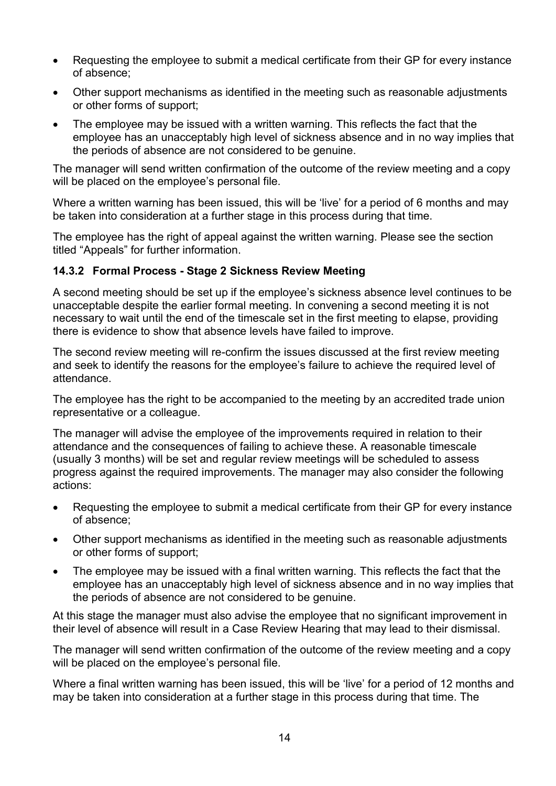- Requesting the employee to submit a medical certificate from their GP for every instance of absence;
- Other support mechanisms as identified in the meeting such as reasonable adjustments or other forms of support;
- The employee may be issued with a written warning. This reflects the fact that the employee has an unacceptably high level of sickness absence and in no way implies that the periods of absence are not considered to be genuine.

The manager will send written confirmation of the outcome of the review meeting and a copy will be placed on the employee's personal file.

Where a written warning has been issued, this will be 'live' for a period of 6 months and may be taken into consideration at a further stage in this process during that time.

The employee has the right of appeal against the written warning. Please see the section titled "Appeals" for further information.

#### **14.3.2 Formal Process - Stage 2 Sickness Review Meeting**

A second meeting should be set up if the employee's sickness absence level continues to be unacceptable despite the earlier formal meeting. In convening a second meeting it is not necessary to wait until the end of the timescale set in the first meeting to elapse, providing there is evidence to show that absence levels have failed to improve.

The second review meeting will re-confirm the issues discussed at the first review meeting and seek to identify the reasons for the employee's failure to achieve the required level of attendance.

The employee has the right to be accompanied to the meeting by an accredited trade union representative or a colleague.

The manager will advise the employee of the improvements required in relation to their attendance and the consequences of failing to achieve these. A reasonable timescale (usually 3 months) will be set and regular review meetings will be scheduled to assess progress against the required improvements. The manager may also consider the following actions:

- Requesting the employee to submit a medical certificate from their GP for every instance of absence;
- Other support mechanisms as identified in the meeting such as reasonable adjustments or other forms of support;
- The employee may be issued with a final written warning. This reflects the fact that the employee has an unacceptably high level of sickness absence and in no way implies that the periods of absence are not considered to be genuine.

At this stage the manager must also advise the employee that no significant improvement in their level of absence will result in a Case Review Hearing that may lead to their dismissal.

The manager will send written confirmation of the outcome of the review meeting and a copy will be placed on the employee's personal file.

Where a final written warning has been issued, this will be 'live' for a period of 12 months and may be taken into consideration at a further stage in this process during that time. The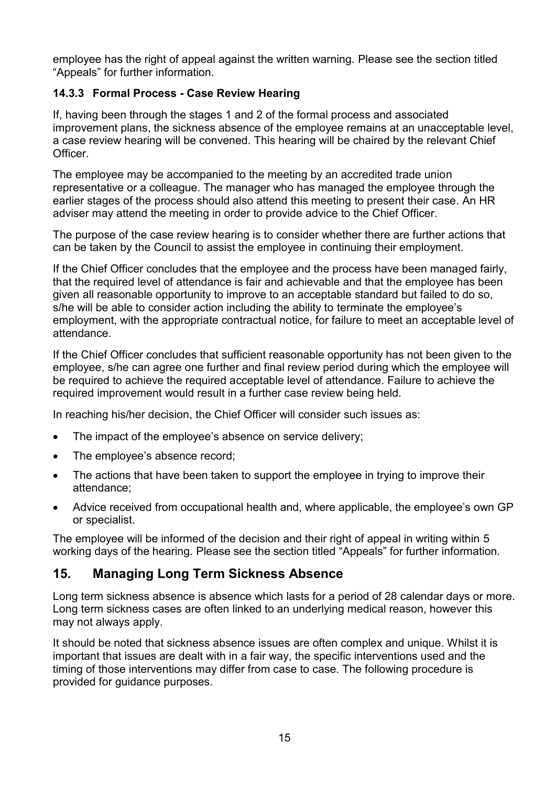employee has the right of appeal against the written warning. Please see the section titled "Appeals" for further information.

#### **14.3.3 Formal Process - Case Review Hearing**

If, having been through the stages 1 and 2 of the formal process and associated improvement plans, the sickness absence of the employee remains at an unacceptable level, a case review hearing will be convened. This hearing will be chaired by the relevant Chief **Officer** 

The employee may be accompanied to the meeting by an accredited trade union representative or a colleague. The manager who has managed the employee through the earlier stages of the process should also attend this meeting to present their case. An HR adviser may attend the meeting in order to provide advice to the Chief Officer.

The purpose of the case review hearing is to consider whether there are further actions that can be taken by the Council to assist the employee in continuing their employment.

If the Chief Officer concludes that the employee and the process have been managed fairly, that the required level of attendance is fair and achievable and that the employee has been given all reasonable opportunity to improve to an acceptable standard but failed to do so, s/he will be able to consider action including the ability to terminate the employee's employment, with the appropriate contractual notice, for failure to meet an acceptable level of attendance.

If the Chief Officer concludes that sufficient reasonable opportunity has not been given to the employee, s/he can agree one further and final review period during which the employee will be required to achieve the required acceptable level of attendance. Failure to achieve the required improvement would result in a further case review being held.

In reaching his/her decision, the Chief Officer will consider such issues as:

- The impact of the employee's absence on service delivery:
- The employee's absence record;
- The actions that have been taken to support the employee in trying to improve their attendance;
- Advice received from occupational health and, where applicable, the employee's own GP or specialist.

The employee will be informed of the decision and their right of appeal in writing within 5 working days of the hearing. Please see the section titled "Appeals" for further information.

#### **15. Managing Long Term Sickness Absence**

Long term sickness absence is absence which lasts for a period of 28 calendar days or more. Long term sickness cases are often linked to an underlying medical reason, however this may not always apply.

It should be noted that sickness absence issues are often complex and unique. Whilst it is important that issues are dealt with in a fair way, the specific interventions used and the timing of those interventions may differ from case to case. The following procedure is provided for guidance purposes.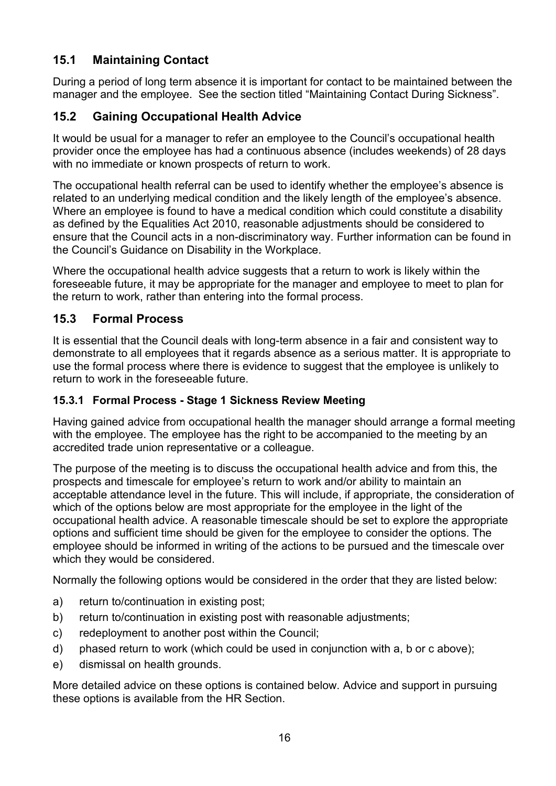#### **15.1 Maintaining Contact**

During a period of long term absence it is important for contact to be maintained between the manager and the employee. See the section titled "Maintaining Contact During Sickness".

#### **15.2 Gaining Occupational Health Advice**

It would be usual for a manager to refer an employee to the Council's occupational health provider once the employee has had a continuous absence (includes weekends) of 28 days with no immediate or known prospects of return to work.

The occupational health referral can be used to identify whether the employee's absence is related to an underlying medical condition and the likely length of the employee's absence. Where an employee is found to have a medical condition which could constitute a disability as defined by the Equalities Act 2010, reasonable adjustments should be considered to ensure that the Council acts in a non-discriminatory way. Further information can be found in the Council's Guidance on Disability in the Workplace.

Where the occupational health advice suggests that a return to work is likely within the foreseeable future, it may be appropriate for the manager and employee to meet to plan for the return to work, rather than entering into the formal process.

#### **15.3 Formal Process**

It is essential that the Council deals with long-term absence in a fair and consistent way to demonstrate to all employees that it regards absence as a serious matter. It is appropriate to use the formal process where there is evidence to suggest that the employee is unlikely to return to work in the foreseeable future.

#### **15.3.1 Formal Process - Stage 1 Sickness Review Meeting**

Having gained advice from occupational health the manager should arrange a formal meeting with the employee. The employee has the right to be accompanied to the meeting by an accredited trade union representative or a colleague.

The purpose of the meeting is to discuss the occupational health advice and from this, the prospects and timescale for employee's return to work and/or ability to maintain an acceptable attendance level in the future. This will include, if appropriate, the consideration of which of the options below are most appropriate for the employee in the light of the occupational health advice. A reasonable timescale should be set to explore the appropriate options and sufficient time should be given for the employee to consider the options. The employee should be informed in writing of the actions to be pursued and the timescale over which they would be considered.

Normally the following options would be considered in the order that they are listed below:

- a) return to/continuation in existing post;
- b) return to/continuation in existing post with reasonable adjustments;
- c) redeployment to another post within the Council;
- d) phased return to work (which could be used in conjunction with a, b or c above);
- e) dismissal on health grounds.

More detailed advice on these options is contained below. Advice and support in pursuing these options is available from the HR Section.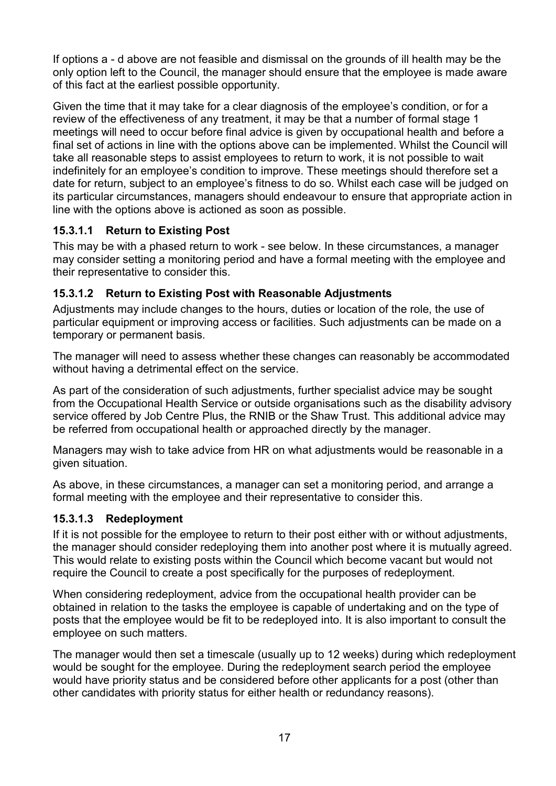If options a - d above are not feasible and dismissal on the grounds of ill health may be the only option left to the Council, the manager should ensure that the employee is made aware of this fact at the earliest possible opportunity.

Given the time that it may take for a clear diagnosis of the employee's condition, or for a review of the effectiveness of any treatment, it may be that a number of formal stage 1 meetings will need to occur before final advice is given by occupational health and before a final set of actions in line with the options above can be implemented. Whilst the Council will take all reasonable steps to assist employees to return to work, it is not possible to wait indefinitely for an employee's condition to improve. These meetings should therefore set a date for return, subject to an employee's fitness to do so. Whilst each case will be judged on its particular circumstances, managers should endeavour to ensure that appropriate action in line with the options above is actioned as soon as possible.

#### **15.3.1.1 Return to Existing Post**

This may be with a phased return to work - see below. In these circumstances, a manager may consider setting a monitoring period and have a formal meeting with the employee and their representative to consider this.

#### **15.3.1.2 Return to Existing Post with Reasonable Adjustments**

Adjustments may include changes to the hours, duties or location of the role, the use of particular equipment or improving access or facilities. Such adjustments can be made on a temporary or permanent basis.

The manager will need to assess whether these changes can reasonably be accommodated without having a detrimental effect on the service.

As part of the consideration of such adjustments, further specialist advice may be sought from the Occupational Health Service or outside organisations such as the disability advisory service offered by Job Centre Plus, the RNIB or the Shaw Trust. This additional advice may be referred from occupational health or approached directly by the manager.

Managers may wish to take advice from HR on what adjustments would be reasonable in a given situation.

As above, in these circumstances, a manager can set a monitoring period, and arrange a formal meeting with the employee and their representative to consider this.

#### **15.3.1.3 Redeployment**

If it is not possible for the employee to return to their post either with or without adjustments, the manager should consider redeploying them into another post where it is mutually agreed. This would relate to existing posts within the Council which become vacant but would not require the Council to create a post specifically for the purposes of redeployment.

When considering redeployment, advice from the occupational health provider can be obtained in relation to the tasks the employee is capable of undertaking and on the type of posts that the employee would be fit to be redeployed into. It is also important to consult the employee on such matters.

The manager would then set a timescale (usually up to 12 weeks) during which redeployment would be sought for the employee. During the redeployment search period the employee would have priority status and be considered before other applicants for a post (other than other candidates with priority status for either health or redundancy reasons).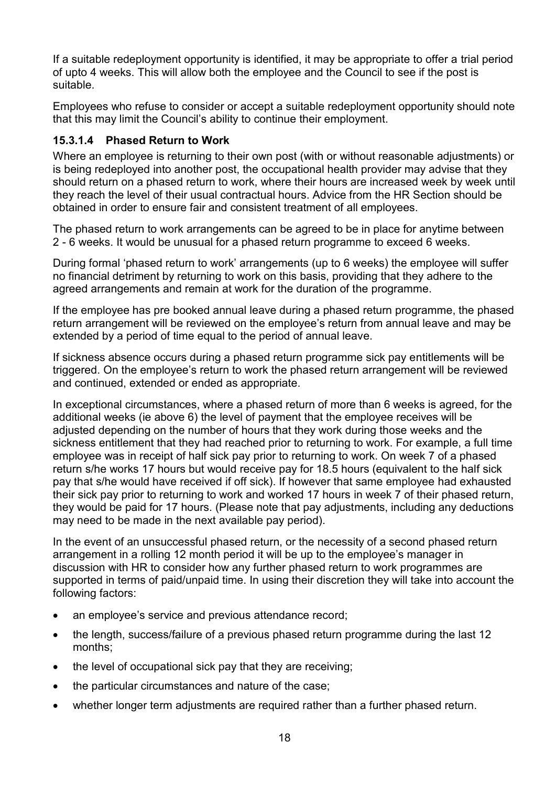If a suitable redeployment opportunity is identified, it may be appropriate to offer a trial period of upto 4 weeks. This will allow both the employee and the Council to see if the post is suitable.

Employees who refuse to consider or accept a suitable redeployment opportunity should note that this may limit the Council's ability to continue their employment.

#### **15.3.1.4 Phased Return to Work**

Where an employee is returning to their own post (with or without reasonable adjustments) or is being redeployed into another post, the occupational health provider may advise that they should return on a phased return to work, where their hours are increased week by week until they reach the level of their usual contractual hours. Advice from the HR Section should be obtained in order to ensure fair and consistent treatment of all employees.

The phased return to work arrangements can be agreed to be in place for anytime between 2 - 6 weeks. It would be unusual for a phased return programme to exceed 6 weeks.

During formal 'phased return to work' arrangements (up to 6 weeks) the employee will suffer no financial detriment by returning to work on this basis, providing that they adhere to the agreed arrangements and remain at work for the duration of the programme.

If the employee has pre booked annual leave during a phased return programme, the phased return arrangement will be reviewed on the employee's return from annual leave and may be extended by a period of time equal to the period of annual leave.

If sickness absence occurs during a phased return programme sick pay entitlements will be triggered. On the employee's return to work the phased return arrangement will be reviewed and continued, extended or ended as appropriate.

In exceptional circumstances, where a phased return of more than 6 weeks is agreed, for the additional weeks (ie above 6) the level of payment that the employee receives will be adjusted depending on the number of hours that they work during those weeks and the sickness entitlement that they had reached prior to returning to work. For example, a full time employee was in receipt of half sick pay prior to returning to work. On week 7 of a phased return s/he works 17 hours but would receive pay for 18.5 hours (equivalent to the half sick pay that s/he would have received if off sick). If however that same employee had exhausted their sick pay prior to returning to work and worked 17 hours in week 7 of their phased return, they would be paid for 17 hours. (Please note that pay adjustments, including any deductions may need to be made in the next available pay period).

In the event of an unsuccessful phased return, or the necessity of a second phased return arrangement in a rolling 12 month period it will be up to the employee's manager in discussion with HR to consider how any further phased return to work programmes are supported in terms of paid/unpaid time. In using their discretion they will take into account the following factors:

- an employee's service and previous attendance record;
- the length, success/failure of a previous phased return programme during the last 12 months;
- the level of occupational sick pay that they are receiving;
- the particular circumstances and nature of the case:
- whether longer term adjustments are required rather than a further phased return.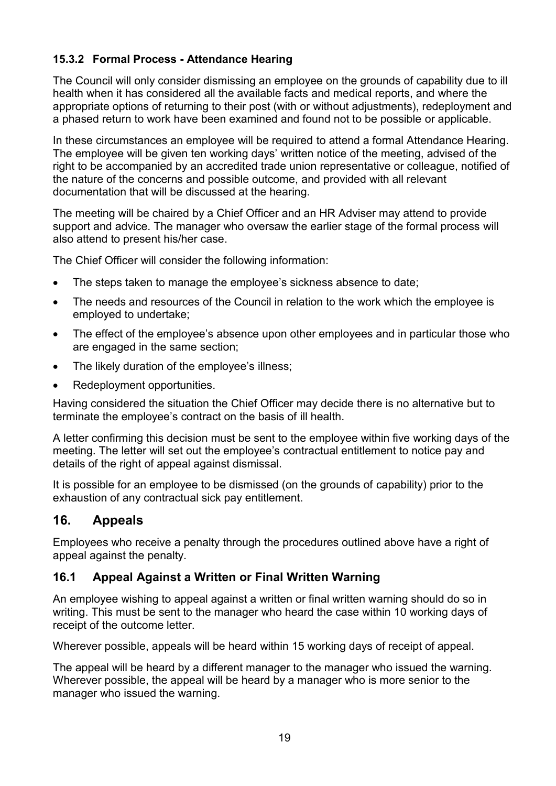#### **15.3.2 Formal Process - Attendance Hearing**

The Council will only consider dismissing an employee on the grounds of capability due to ill health when it has considered all the available facts and medical reports, and where the appropriate options of returning to their post (with or without adjustments), redeployment and a phased return to work have been examined and found not to be possible or applicable.

In these circumstances an employee will be required to attend a formal Attendance Hearing. The employee will be given ten working days' written notice of the meeting, advised of the right to be accompanied by an accredited trade union representative or colleague, notified of the nature of the concerns and possible outcome, and provided with all relevant documentation that will be discussed at the hearing.

The meeting will be chaired by a Chief Officer and an HR Adviser may attend to provide support and advice. The manager who oversaw the earlier stage of the formal process will also attend to present his/her case.

The Chief Officer will consider the following information:

- The steps taken to manage the employee's sickness absence to date;
- The needs and resources of the Council in relation to the work which the employee is employed to undertake;
- The effect of the employee's absence upon other employees and in particular those who are engaged in the same section;
- The likely duration of the employee's illness;
- Redeployment opportunities.

Having considered the situation the Chief Officer may decide there is no alternative but to terminate the employee's contract on the basis of ill health.

A letter confirming this decision must be sent to the employee within five working days of the meeting. The letter will set out the employee's contractual entitlement to notice pay and details of the right of appeal against dismissal.

It is possible for an employee to be dismissed (on the grounds of capability) prior to the exhaustion of any contractual sick pay entitlement.

#### **16. Appeals**

Employees who receive a penalty through the procedures outlined above have a right of appeal against the penalty.

#### **16.1 Appeal Against a Written or Final Written Warning**

An employee wishing to appeal against a written or final written warning should do so in writing. This must be sent to the manager who heard the case within 10 working days of receipt of the outcome letter.

Wherever possible, appeals will be heard within 15 working days of receipt of appeal.

The appeal will be heard by a different manager to the manager who issued the warning. Wherever possible, the appeal will be heard by a manager who is more senior to the manager who issued the warning.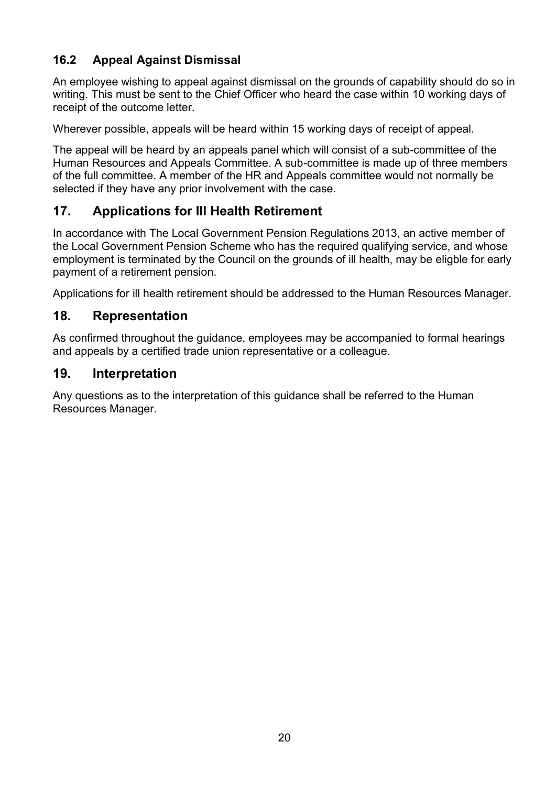## **16.2 Appeal Against Dismissal**

An employee wishing to appeal against dismissal on the grounds of capability should do so in writing. This must be sent to the Chief Officer who heard the case within 10 working days of receipt of the outcome letter.

Wherever possible, appeals will be heard within 15 working days of receipt of appeal.

The appeal will be heard by an appeals panel which will consist of a sub-committee of the Human Resources and Appeals Committee. A sub-committee is made up of three members of the full committee. A member of the HR and Appeals committee would not normally be selected if they have any prior involvement with the case.

#### **17. Applications for Ill Health Retirement**

In accordance with The Local Government Pension Regulations 2013, an active member of the Local Government Pension Scheme who has the required qualifying service, and whose employment is terminated by the Council on the grounds of ill health, may be eligble for early payment of a retirement pension.

Applications for ill health retirement should be addressed to the Human Resources Manager.

#### **18. Representation**

As confirmed throughout the guidance, employees may be accompanied to formal hearings and appeals by a certified trade union representative or a colleague.

#### **19. Interpretation**

Any questions as to the interpretation of this guidance shall be referred to the Human Resources Manager.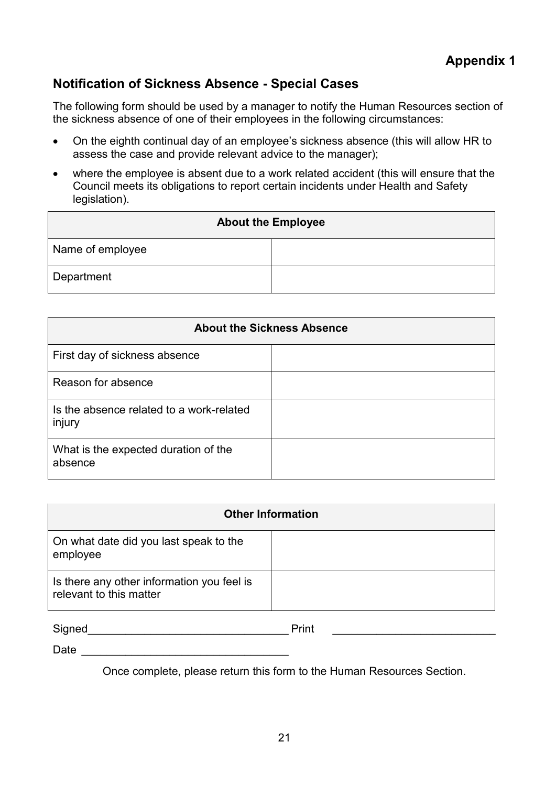## **Notification of Sickness Absence - Special Cases**

The following form should be used by a manager to notify the Human Resources section of the sickness absence of one of their employees in the following circumstances:

- On the eighth continual day of an employee's sickness absence (this will allow HR to assess the case and provide relevant advice to the manager);
- where the employee is absent due to a work related accident (this will ensure that the Council meets its obligations to report certain incidents under Health and Safety legislation).

| <b>About the Employee</b> |  |  |  |
|---------------------------|--|--|--|
| Name of employee          |  |  |  |
| Department                |  |  |  |

| <b>About the Sickness Absence</b>                  |  |  |
|----------------------------------------------------|--|--|
| First day of sickness absence                      |  |  |
| Reason for absence                                 |  |  |
| Is the absence related to a work-related<br>injury |  |  |
| What is the expected duration of the<br>absence    |  |  |

| <b>Other Information</b>                                              |  |
|-----------------------------------------------------------------------|--|
| On what date did you last speak to the<br>employee                    |  |
| Is there any other information you feel is<br>relevant to this matter |  |

| Signed |  |
|--------|--|
|        |  |

Signed \_\_\_\_\_\_\_\_\_\_\_\_\_\_\_\_\_\_\_\_\_\_\_\_\_\_\_\_\_\_\_\_ Print \_\_\_\_\_\_\_\_\_\_\_\_\_\_\_\_\_\_\_\_\_\_\_\_\_\_

 $Date$   $\Box$ 

Once complete, please return this form to the Human Resources Section.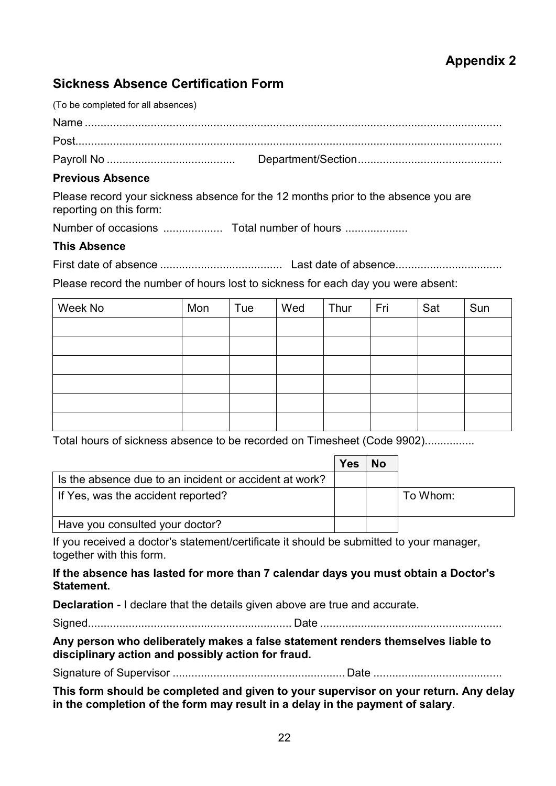## **Appendix 2**

#### **Sickness Absence Certification Form**

(To be completed for all absences) Name ..................................................................................................................................... Post........................................................................................................................................ Payroll No ......................................... Department/Section ..............................................

#### **Previous Absence**

Please record your sickness absence for the 12 months prior to the absence you are reporting on this form:

Number of occasions ................... Total number of hours ....................

#### **This Absence**

First date of absence ....................................... Last date of absence ..................................

Please record the number of hours lost to sickness for each day you were absent:

| Week No | Mon | Tue | Wed | Thur | Fri | Sat | Sun |
|---------|-----|-----|-----|------|-----|-----|-----|
|         |     |     |     |      |     |     |     |
|         |     |     |     |      |     |     |     |
|         |     |     |     |      |     |     |     |
|         |     |     |     |      |     |     |     |
|         |     |     |     |      |     |     |     |
|         |     |     |     |      |     |     |     |

Total hours of sickness absence to be recorded on Timesheet (Code 9902)................

|                                                        | <b>Yes</b> | <b>No</b> |            |
|--------------------------------------------------------|------------|-----------|------------|
| Is the absence due to an incident or accident at work? |            |           |            |
| If Yes, was the accident reported?                     |            |           | l To Whom: |
| Have you consulted your doctor?                        |            |           |            |

If you received a doctor's statement/certificate it should be submitted to your manager, together with this form.

#### **If the absence has lasted for more than 7 calendar days you must obtain a Doctor's Statement.**

**Declaration** - I declare that the details given above are true and accurate.

Signed ................................................................. Date ..........................................................

**Any person who deliberately makes a false statement renders themselves liable to disciplinary action and possibly action for fraud.** 

Signature of Supervisor ....................................................... Date .........................................

**This form should be completed and given to your supervisor on your return. Any delay in the completion of the form may result in a delay in the payment of salary**.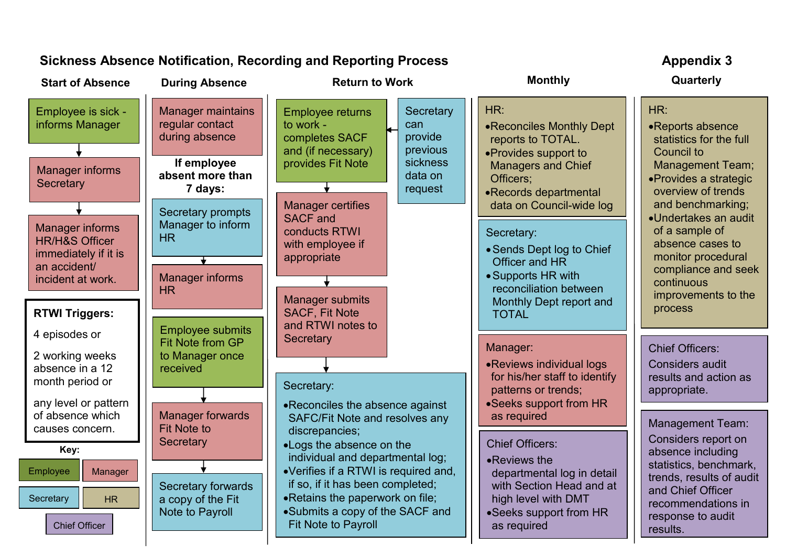## Sickness Absence Notification, Recording and Reporting Process **Appendix 3** Appendix 3

#### •Submits a copy of the SACF and Employee is sick informs Manager Manager informs **Secretary** Manager informs HR/H&S Officer immediately if it is an accident/ incident at work. Manager maintains regular contact during absence Manager informs **HR** Employee returns to work completes SACF and (if necessary) provides Fit Note Employee submits Fit Note from GP to Manager once received Manager forwards Fit Note to **Secretary Secretary** can provide previous sickness data on request Manager certifies SACF and conducts RTWI with employee if appropriate Manager submits SACF, Fit Note and RTWI notes to **Secretary** Secretary: Reconciles the absence against SAFC/Fit Note and resolves any discrepancies; Logs the absence on the individual and departmental log; Verifies if a RTWI is required and, if so, if it has been completed; Retains the paperwork on file; Fit Note to Payroll Secretary forwards a copy of the Fit Note to Payroll Manager: Reviews individual logs for his/her staff to identify patterns or trends; Seeks support from HR as required Chief Officers: Reviews the departmental log in detail with Section Head and at high level with DMT Seeks support from HR as required Secretary: Sends Dept log to Chief Officer and HR Supports HR with reconciliation between Monthly Dept report and TOTAL HR: Reconciles Monthly Dept reports to TOTAL. Provides support to Managers and Chief Officers; Records departmental data on Council-wide log HR: Reports absence statistics for the full Council to Management Team; Provides a strategic overview of trends and benchmarking; Undertakes an audit of a sample of absence cases to monitor procedural compliance and seek continuous improvements to the process **Start of Absence During Absence Return to Work Monthly Quarterly If employee absent more than 7 days:** Secretary prompts Manager to inform HR Employee Manager e **Secretary** Chief Officer HR Management Team: Considers report on absence including statistics, benchmark, trends, results of audit and Chief Officer recommendations in response to audit results. **RTWI Triggers:** 4 episodes or 2 working weeks absence in a 12 month period or any level or pattern of absence which causes concern. Chief Officers: Considers audit results and action as appropriate. **1. Key:**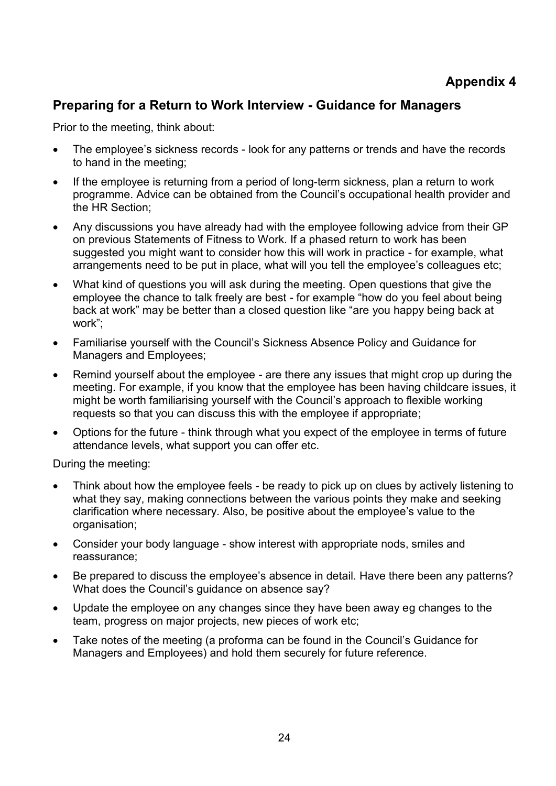#### **Preparing for a Return to Work Interview - Guidance for Managers**

Prior to the meeting, think about:

- The employee's sickness records look for any patterns or trends and have the records to hand in the meeting;
- If the employee is returning from a period of long-term sickness, plan a return to work programme. Advice can be obtained from the Council's occupational health provider and the HR Section;
- Any discussions you have already had with the employee following advice from their GP on previous Statements of Fitness to Work. If a phased return to work has been suggested you might want to consider how this will work in practice - for example, what arrangements need to be put in place, what will you tell the employee's colleagues etc;
- What kind of questions you will ask during the meeting. Open questions that give the employee the chance to talk freely are best - for example "how do you feel about being back at work" may be better than a closed question like "are you happy being back at work";
- Familiarise yourself with the Council's Sickness Absence Policy and Guidance for Managers and Employees;
- Remind yourself about the employee are there any issues that might crop up during the meeting. For example, if you know that the employee has been having childcare issues, it might be worth familiarising yourself with the Council's approach to flexible working requests so that you can discuss this with the employee if appropriate;
- Options for the future think through what you expect of the employee in terms of future attendance levels, what support you can offer etc.

During the meeting:

- Think about how the employee feels be ready to pick up on clues by actively listening to what they say, making connections between the various points they make and seeking clarification where necessary. Also, be positive about the employee's value to the organisation;
- Consider your body language show interest with appropriate nods, smiles and reassurance;
- Be prepared to discuss the employee's absence in detail. Have there been any patterns? What does the Council's quidance on absence say?
- Update the employee on any changes since they have been away eg changes to the team, progress on major projects, new pieces of work etc;
- Take notes of the meeting (a proforma can be found in the Council's Guidance for Managers and Employees) and hold them securely for future reference.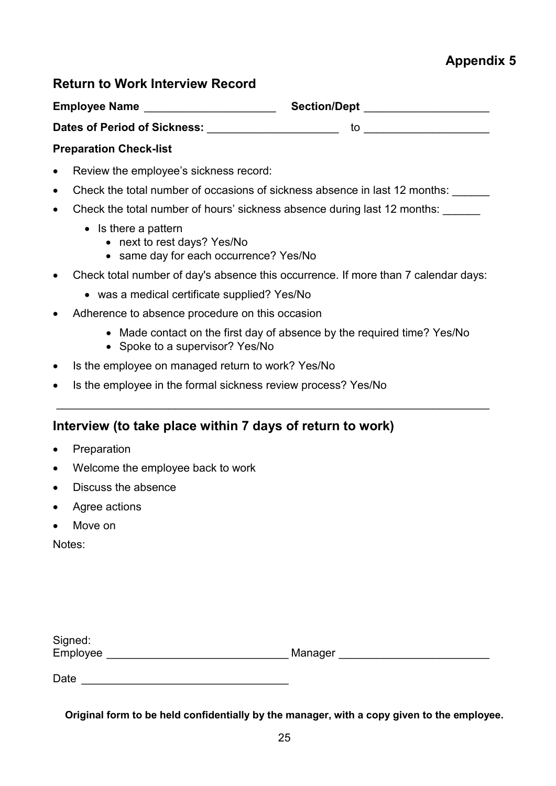## **Appendix 5**

#### **Return to Work Interview Record**

**Employee Name Employee Name Section/Dept** 

**Dates of Period of Sickness:** \_\_\_\_\_\_\_\_\_\_\_\_\_\_\_\_\_\_\_\_\_ to \_\_\_\_\_\_\_\_\_\_\_\_\_\_\_\_\_\_\_\_

#### **Preparation Check-list**

- Review the employee's sickness record:
- Check the total number of occasions of sickness absence in last 12 months:
- Check the total number of hours' sickness absence during last 12 months: \_\_\_\_\_
	- Is there a pattern
		- next to rest days? Yes/No
		- same day for each occurrence? Yes/No
- Check total number of day's absence this occurrence. If more than 7 calendar days:
	- was a medical certificate supplied? Yes/No
- Adherence to absence procedure on this occasion
	- Made contact on the first day of absence by the required time? Yes/No

\_\_\_\_\_\_\_\_\_\_\_\_\_\_\_\_\_\_\_\_\_\_\_\_\_\_\_\_\_\_\_\_\_\_\_\_\_\_\_\_\_\_\_\_\_\_\_\_\_\_\_\_\_\_\_\_\_\_\_\_\_\_\_\_\_\_\_\_\_

- Spoke to a supervisor? Yes/No
- Is the employee on managed return to work? Yes/No
- Is the employee in the formal sickness review process? Yes/No

## **Interview (to take place within 7 days of return to work)**

- Preparation
- Welcome the employee back to work
- Discuss the absence
- Agree actions
- Move on

Notes:

| Signed:<br>Employee | Manager |  |
|---------------------|---------|--|
| Date                |         |  |

**Original form to be held confidentially by the manager, with a copy given to the employee.**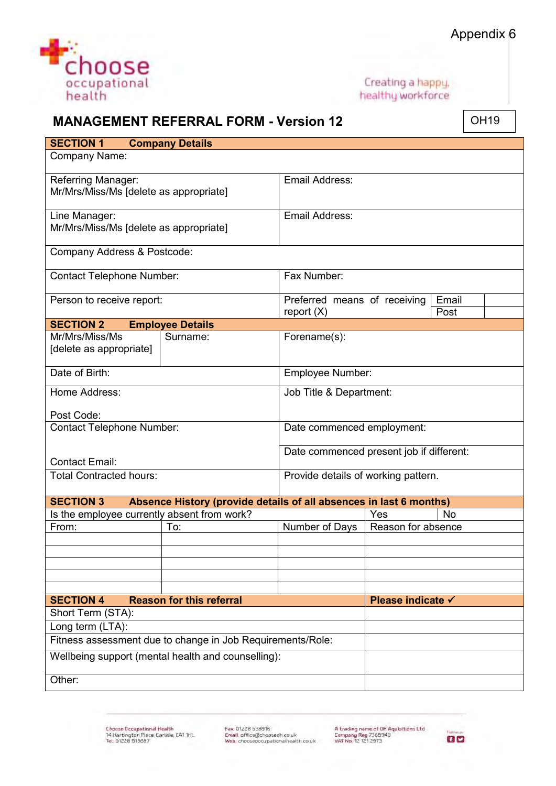

#### Appendix 6

Creating a happy, healthy workforce

| <b>MANAGEMENT REFERRAL FORM - Version 12</b> |  |  |  |
|----------------------------------------------|--|--|--|
|----------------------------------------------|--|--|--|

**OH19** 

| <b>SECTION 1</b>                                           | <b>Company Details</b>                                             |                                          |                    |           |  |
|------------------------------------------------------------|--------------------------------------------------------------------|------------------------------------------|--------------------|-----------|--|
| Company Name:                                              |                                                                    |                                          |                    |           |  |
| Referring Manager:                                         |                                                                    | Email Address:                           |                    |           |  |
| Mr/Mrs/Miss/Ms [delete as appropriate]                     |                                                                    |                                          |                    |           |  |
|                                                            |                                                                    |                                          |                    |           |  |
| Line Manager:                                              |                                                                    | Email Address:                           |                    |           |  |
| Mr/Mrs/Miss/Ms [delete as appropriate]                     |                                                                    |                                          |                    |           |  |
| Company Address & Postcode:                                |                                                                    |                                          |                    |           |  |
| <b>Contact Telephone Number:</b>                           |                                                                    | Fax Number:                              |                    |           |  |
| Person to receive report:                                  |                                                                    | Preferred means of receiving             |                    | Email     |  |
|                                                            |                                                                    | report $(X)$                             |                    | Post      |  |
| <b>SECTION 2</b>                                           | <b>Employee Details</b>                                            |                                          |                    |           |  |
| Mr/Mrs/Miss/Ms                                             | Surname:                                                           | Forename(s):                             |                    |           |  |
| [delete as appropriate]                                    |                                                                    |                                          |                    |           |  |
| Date of Birth:                                             |                                                                    | Employee Number:                         |                    |           |  |
| Home Address:                                              |                                                                    | Job Title & Department:                  |                    |           |  |
| Post Code:                                                 |                                                                    |                                          |                    |           |  |
| <b>Contact Telephone Number:</b>                           |                                                                    | Date commenced employment:               |                    |           |  |
| <b>Contact Email:</b>                                      |                                                                    | Date commenced present job if different: |                    |           |  |
| <b>Total Contracted hours:</b>                             |                                                                    | Provide details of working pattern.      |                    |           |  |
| <b>SECTION 3</b>                                           | Absence History (provide details of all absences in last 6 months) |                                          |                    |           |  |
| Is the employee currently absent from work?                |                                                                    |                                          | Yes                | <b>No</b> |  |
| From:                                                      | To:                                                                | Number of Days                           | Reason for absence |           |  |
|                                                            |                                                                    |                                          |                    |           |  |
|                                                            |                                                                    |                                          |                    |           |  |
|                                                            |                                                                    |                                          |                    |           |  |
|                                                            |                                                                    |                                          |                    |           |  |
|                                                            |                                                                    |                                          |                    |           |  |
| <b>SECTION 4</b>                                           | <b>Reason for this referral</b>                                    |                                          | Please indicate √  |           |  |
|                                                            |                                                                    |                                          |                    |           |  |
| Short Term (STA):<br>Long term (LTA):                      |                                                                    |                                          |                    |           |  |
| Fitness assessment due to change in Job Requirements/Role: |                                                                    |                                          |                    |           |  |
| Wellbeing support (mental health and counselling):         |                                                                    |                                          |                    |           |  |
| Other:                                                     |                                                                    |                                          |                    |           |  |

Fax: 01228 538916<br>Email: office@chooseph.co.uk<br>Web: chooseoccupationalhealth.co.uk

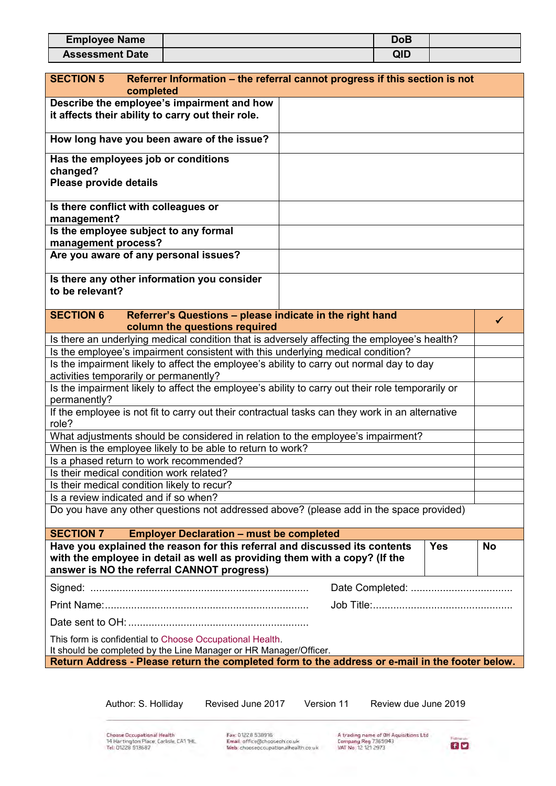| <b>Employee Name</b>   | <b>DoB</b> |  |
|------------------------|------------|--|
| <b>Assessment Date</b> | QID        |  |

| <b>SECTION 5</b><br>Referrer Information - the referral cannot progress if this section is not<br>completed                                                                                            |                                    |            |              |  |  |
|--------------------------------------------------------------------------------------------------------------------------------------------------------------------------------------------------------|------------------------------------|------------|--------------|--|--|
| Describe the employee's impairment and how                                                                                                                                                             |                                    |            |              |  |  |
| it affects their ability to carry out their role.                                                                                                                                                      |                                    |            |              |  |  |
| How long have you been aware of the issue?                                                                                                                                                             |                                    |            |              |  |  |
| Has the employees job or conditions<br>changed?                                                                                                                                                        |                                    |            |              |  |  |
| Please provide details                                                                                                                                                                                 |                                    |            |              |  |  |
| Is there conflict with colleagues or<br>management?                                                                                                                                                    |                                    |            |              |  |  |
| Is the employee subject to any formal<br>management process?                                                                                                                                           |                                    |            |              |  |  |
| Are you aware of any personal issues?                                                                                                                                                                  |                                    |            |              |  |  |
| Is there any other information you consider<br>to be relevant?                                                                                                                                         |                                    |            |              |  |  |
|                                                                                                                                                                                                        |                                    |            |              |  |  |
| <b>SECTION 6</b><br>Referrer's Questions - please indicate in the right hand<br>column the questions required                                                                                          |                                    |            | $\checkmark$ |  |  |
| Is there an underlying medical condition that is adversely affecting the employee's health?                                                                                                            |                                    |            |              |  |  |
| Is the employee's impairment consistent with this underlying medical condition?                                                                                                                        |                                    |            |              |  |  |
| Is the impairment likely to affect the employee's ability to carry out normal day to day<br>activities temporarily or permanently?                                                                     |                                    |            |              |  |  |
| Is the impairment likely to affect the employee's ability to carry out their role temporarily or<br>permanently?                                                                                       |                                    |            |              |  |  |
| If the employee is not fit to carry out their contractual tasks can they work in an alternative<br>role?                                                                                               |                                    |            |              |  |  |
| What adjustments should be considered in relation to the employee's impairment?                                                                                                                        |                                    |            |              |  |  |
| When is the employee likely to be able to return to work?                                                                                                                                              |                                    |            |              |  |  |
| Is a phased return to work recommended?                                                                                                                                                                |                                    |            |              |  |  |
| Is their medical condition work related?                                                                                                                                                               |                                    |            |              |  |  |
| Is their medical condition likely to recur?                                                                                                                                                            |                                    |            |              |  |  |
| Is a review indicated and if so when?                                                                                                                                                                  |                                    |            |              |  |  |
| Do you have any other questions not addressed above? (please add in the space provided)                                                                                                                |                                    |            |              |  |  |
| <b>SECTION 7</b><br><b>Employer Declaration - must be completed</b>                                                                                                                                    |                                    |            |              |  |  |
| Have you explained the reason for this referral and discussed its contents<br>with the employee in detail as well as providing them with a copy? (If the<br>answer is NO the referral CANNOT progress) |                                    | <b>Yes</b> | <b>No</b>    |  |  |
|                                                                                                                                                                                                        |                                    |            |              |  |  |
|                                                                                                                                                                                                        |                                    |            |              |  |  |
|                                                                                                                                                                                                        |                                    |            |              |  |  |
| This form is confidential to Choose Occupational Health.<br>It should be completed by the Line Manager or HR Manager/Officer.                                                                          |                                    |            |              |  |  |
| Return Address - Please return the completed form to the address or e-mail in the footer below.                                                                                                        |                                    |            |              |  |  |
| Revised June 2017                                                                                                                                                                                      | Version 11<br>Review due June 2019 |            |              |  |  |
| Author: S. Holliday                                                                                                                                                                                    |                                    |            |              |  |  |

Choose Occupational Health<br>14 Hartington Place, Carlisle, CA1 1HL<br>Tel: 01228 513687

Fax: 01228 538916 A trading name of OH Aquisitions Ltd<br>Email: office@chooseoh.co.uk Company Reg 7365943<br>Web: chooseoccupationalhealth.co.uk VAT No. 12 121 2973

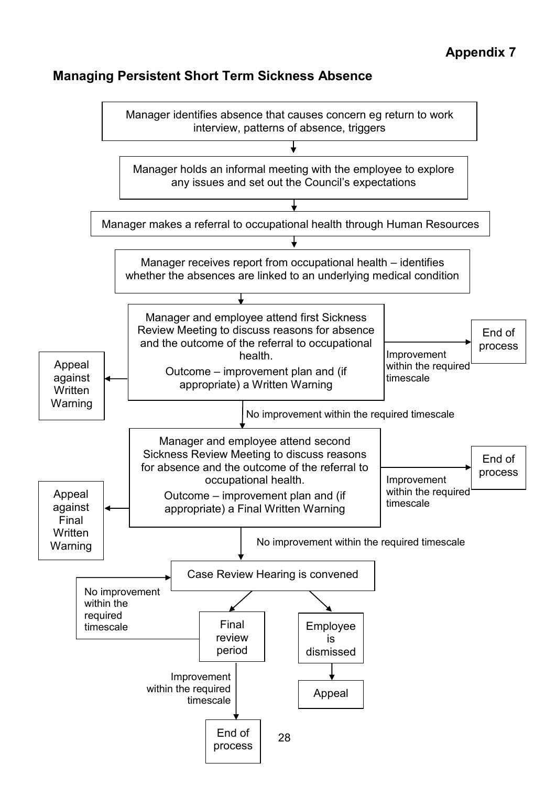## **Managing Persistent Short Term Sickness Absence**